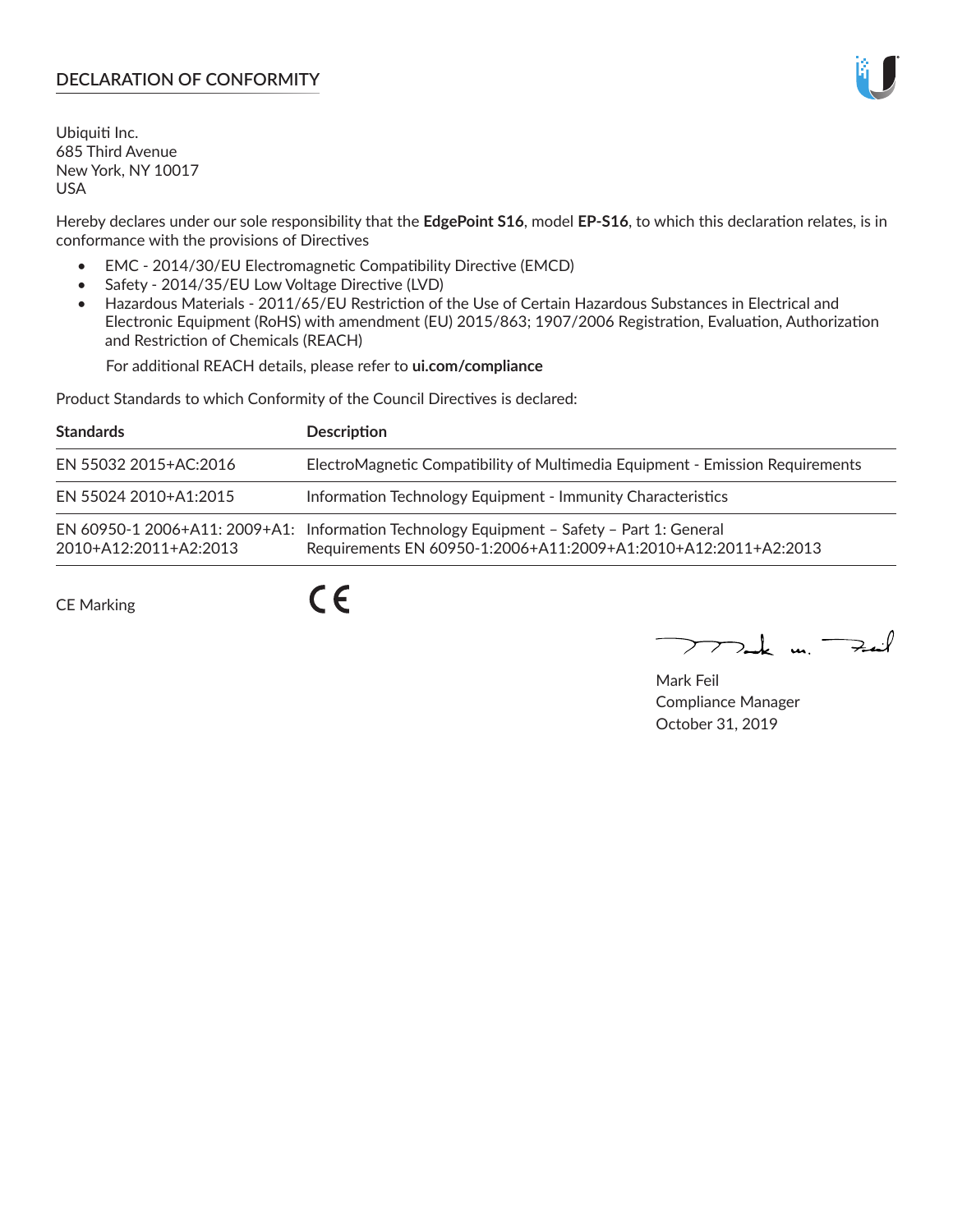## **DECLARATION OF CONFORMITY**

Ubiquiti Inc. 685 Third Avenue New York, NY 10017 USA

Hereby declares under our sole responsibility that the **EdgePoint S16**, model **EP-S16**, to which this declaration relates, is in conformance with the provisions of Directives

- EMC 2014/30/EU Electromagnetic Compatibility Directive (EMCD)
- Safety 2014/35/EU Low Voltage Directive (LVD)
- Hazardous Materials 2011/65/EU Restriction of the Use of Certain Hazardous Substances in Electrical and Electronic Equipment (RoHS) with amendment (EU) 2015/863; 1907/2006 Registration, Evaluation, Authorization and Restriction of Chemicals (REACH)

For additional REACH details, please refer to **ui.com/compliance**

Product Standards to which Conformity of the Council Directives is declared:

| <b>Standards</b>      | <b>Description</b>                                                                                                                                          |
|-----------------------|-------------------------------------------------------------------------------------------------------------------------------------------------------------|
| EN 55032 2015+AC:2016 | ElectroMagnetic Compatibility of Multimedia Equipment - Emission Requirements                                                                               |
| EN 55024 2010+A1:2015 | Information Technology Equipment - Immunity Characteristics                                                                                                 |
| 2010+A12:2011+A2:2013 | EN 60950-1 2006+A11: 2009+A1: Information Technology Equipment - Safety - Part 1: General<br>Requirements EN 60950-1:2006+A11:2009+A1:2010+A12:2011+A2:2013 |

CE Marking

 $C \in$ 

 $\nabla$ ak m $\nabla$ zail

Mark Feil Compliance Manager October 31, 2019

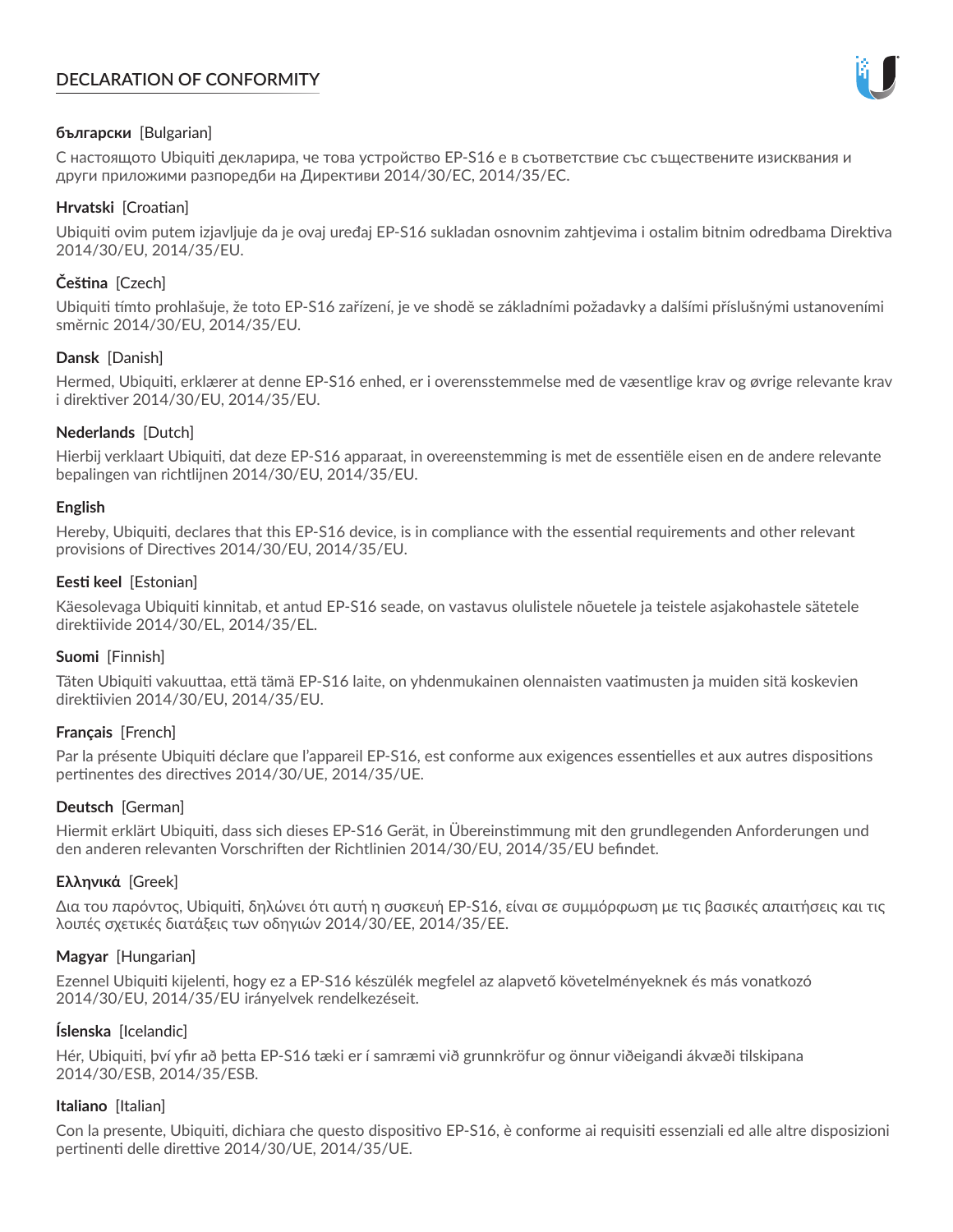# **DECLARATION OF CONFORMITY**



## **български** [Bulgarian]

С настоящото Ubiquiti декларира, че това устройство EP-S16 е в съответствие със съществените изисквания и други приложими разпоредби на Директиви 2014/30/ЕС, 2014/35/ЕС.

## **Hrvatski** [Croatian]

Ubiquiti ovim putem izjavljuje da je ovaj uređaj EP-S16 sukladan osnovnim zahtjevima i ostalim bitnim odredbama Direktiva 2014/30/EU, 2014/35/EU.

## **Čeština** [Czech]

Ubiquiti tímto prohlašuje, že toto EP-S16 zařízení, je ve shodě se základními požadavky a dalšími příslušnými ustanoveními směrnic 2014/30/EU, 2014/35/EU.

### **Dansk** [Danish]

Hermed, Ubiquiti, erklærer at denne EP-S16 enhed, er i overensstemmelse med de væsentlige krav og øvrige relevante krav i direktiver 2014/30/EU, 2014/35/EU.

## **Nederlands** [Dutch]

Hierbij verklaart Ubiquiti, dat deze EP-S16 apparaat, in overeenstemming is met de essentiële eisen en de andere relevante bepalingen van richtlijnen 2014/30/EU, 2014/35/EU.

### **English**

Hereby, Ubiquiti, declares that this EP-S16 device, is in compliance with the essential requirements and other relevant provisions of Directives 2014/30/EU, 2014/35/EU.

### **Eesti keel** [Estonian]

Käesolevaga Ubiquiti kinnitab, et antud EP-S16 seade, on vastavus olulistele nõuetele ja teistele asjakohastele sätetele direktiivide 2014/30/EL, 2014/35/EL.

### **Suomi** [Finnish]

Täten Ubiquiti vakuuttaa, että tämä EP-S16 laite, on yhdenmukainen olennaisten vaatimusten ja muiden sitä koskevien direktiivien 2014/30/EU, 2014/35/EU.

### **Français** [French]

Par la présente Ubiquiti déclare que l'appareil EP-S16, est conforme aux exigences essentielles et aux autres dispositions pertinentes des directives 2014/30/UE, 2014/35/UE.

### **Deutsch** [German]

Hiermit erklärt Ubiquiti, dass sich dieses EP-S16 Gerät, in Übereinstimmung mit den grundlegenden Anforderungen und den anderen relevanten Vorschriften der Richtlinien 2014/30/EU, 2014/35/EU befindet.

### **Ελληνικά** [Greek]

Δια του παρόντος, Ubiquiti, δηλώνει ότι αυτή η συσκευή EP-S16, είναι σε συμμόρφωση με τις βασικές απαιτήσεις και τις λοιπές σχετικές διατάξεις των οδηγιών 2014/30/EE, 2014/35/EE.

### **Magyar** [Hungarian]

Ezennel Ubiquiti kijelenti, hogy ez a EP-S16 készülék megfelel az alapvető követelményeknek és más vonatkozó 2014/30/EU, 2014/35/EU irányelvek rendelkezéseit.

### **Íslenska** [Icelandic]

Hér, Ubiquiti, því yfir að þetta EP-S16 tæki er í samræmi við grunnkröfur og önnur viðeigandi ákvæði tilskipana 2014/30/ESB, 2014/35/ESB.

### **Italiano** [Italian]

Con la presente, Ubiquiti, dichiara che questo dispositivo EP-S16, è conforme ai requisiti essenziali ed alle altre disposizioni pertinenti delle direttive 2014/30/UE, 2014/35/UE.